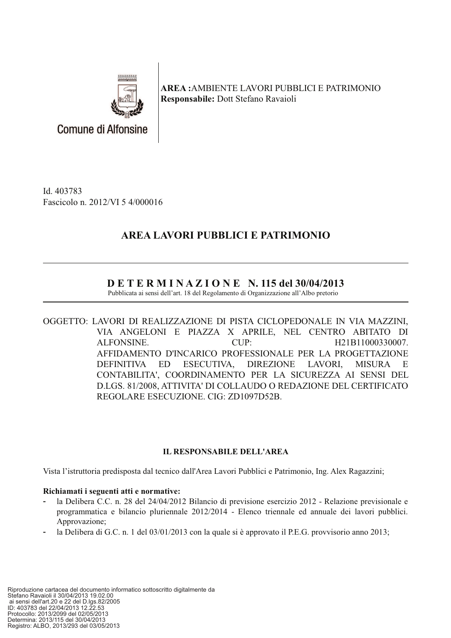

**AREA: AMBIENTE LAVORI PUBBLICI E PATRIMONIO Responsabile: Dott Stefano Ravaioli** 

Id. 403783 Fascicolo n. 2012/VI 5 4/000016

**Comune di Alfonsine** 

# AREA LAVORI PUBBLICI E PATRIMONIO

## $D E T E R M I N A Z I O N E N.$  115 del 30/04/2013

Pubblicata ai sensi dell'art. 18 del Regolamento di Organizzazione all'Albo pretorio

OGGETTO: LAVORI DI REALIZZAZIONE DI PISTA CICLOPEDONALE IN VIA MAZZINI, VIA ANGELONI E PIAZZA X APRILE, NEL CENTRO ABITATO DI ALFONSINE. CUP: H21B11000330007. AFFIDAMENTO D'INCARICO PROFESSIONALE PER LA PROGETTAZIONE ESECUTIVA, **DIREZIONE** LAVORI, **DEFINITIVA** ED. **MISURA**  $E$ CONTABILITA', COORDINAMENTO PER LA SICUREZZA AI SENSI DEL D.LGS. 81/2008. ATTIVITA' DI COLLAUDO O REDAZIONE DEL CERTIFICATO REGOLARE ESECUZIONE, CIG: ZD1097D52B.

### **IL RESPONSABILE DELL'AREA**

Vista l'istruttoria predisposta dal tecnico dall'Area Lavori Pubblici e Patrimonio, Ing. Alex Ragazzini;

### Richiamati i seguenti atti e normative:

- la Delibera C.C. n. 28 del 24/04/2012 Bilancio di previsione esercizio 2012 Relazione previsionale e programmatica e bilancio pluriennale 2012/2014 - Elenco triennale ed annuale dei lavori pubblici. Approvazione;
- la Delibera di G.C. n. 1 del  $03/01/2013$  con la quale si è approvato il P.E.G. provvisorio anno 2013;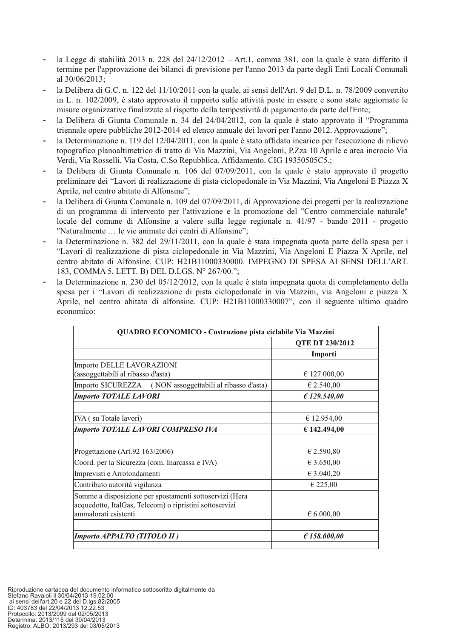- la Legge di stabilità 2013 n. 228 del  $24/12/2012 Art.1$ , comma 381, con la quale è stato differito il termine per l'approvazione dei bilanci di previsione per l'anno 2013 da parte degli Enti Locali Comunali al 30/06/2013;
- la Delibera di G.C. n. 122 del 11/10/2011 con la quale, ai sensi dell'Art. 9 del D.L. n. 78/2009 convertito in L. n. 102/2009, è stato approvato il rapporto sulle attività poste in essere e sono state aggiornate le misure organizzative finalizzate al rispetto della tempestività di pagamento da parte dell'Ente;
- la Delibera di Giunta Comunale n. 34 del 24/04/2012, con la quale è stato approvato il "Programma"  $\ddot{\phantom{1}}$ triennale opere pubbliche 2012-2014 ed elenco annuale dei lavori per l'anno 2012. Approvazione";
- la Determinazione n. 119 del  $12/04/2011$ , con la quale è stato affidato incarico per l'esecuzione di rilievo topografico planoaltimetrico di tratto di Via Mazzini, Via Angeloni, P.Zza 10 Aprile e area incrocio Via Verdi, Via Rosselli, Via Costa, C.So Repubblica. Affidamento. CIG 19350505C5.;
- la Delibera di Giunta Comunale n. 106 del 07/09/2011, con la quale è stato approvato il progetto preliminare dei "Lavori di realizzazione di pista ciclopedonale in Via Mazzini, Via Angeloni E Piazza X Aprile, nel centro abitato di Alfonsine";
- la Delibera di Giunta Comunale n. 109 del 07/09/2011, di Approvazione dei progetti per la realizzazione di un programma di intervento per l'attivazione e la promozione del "Centro commerciale naturale" locale del comune di Alfonsine a valere sulla legge regionale n. 41/97 - bando 2011 - progetto "Naturalmente ... le vie animate dei centri di Alfonsine";
- la Determinazione n. 382 del 29/11/2011, con la quale è stata impegnata quota parte della spesa per i "Lavori di realizzazione di pista ciclopedonale in Via Mazzini, Via Angeloni E Piazza X Aprile, nel centro abitato di Alfonsine. CUP: H21B11000330000. IMPEGNO DI SPESA AI SENSI DELL'ART. 183, COMMA 5, LETT, B) DEL D.LGS, N° 267/00.":
- la Determinazione n. 230 del 05/12/2012, con la quale è stata impegnata quota di completamento della spesa per i "Lavori di realizzazione di pista ciclopedonale in via Mazzini, via Angeloni e piazza X Aprile, nel centro abitato di alfonsine. CUP: H21B11000330007", con il seguente ultimo quadro economico:

| QUADRO ECONOMICO - Costruzione pista ciclabile Via Mazzini                                                         |                        |  |  |  |
|--------------------------------------------------------------------------------------------------------------------|------------------------|--|--|--|
|                                                                                                                    | <b>QTE DT 230/2012</b> |  |  |  |
|                                                                                                                    | Importi                |  |  |  |
| Importo DELLE LAVORAZIONI                                                                                          |                        |  |  |  |
| (assoggettabili al ribasso d'asta)                                                                                 | $\epsilon$ 127.000,00  |  |  |  |
| Importo SICUREZZA (NON assoggettabili al ribasso d'asta)                                                           | € 2.540,00             |  |  |  |
| <b>Importo TOTALE LAVORI</b>                                                                                       | £ 129.540.00           |  |  |  |
| IVA (su Totale lavori)                                                                                             | € 12.954,00            |  |  |  |
| Importo TOTALE LAVORI COMPRESO IVA                                                                                 | € 142.494,00           |  |  |  |
|                                                                                                                    |                        |  |  |  |
| Progettazione (Art.92 163/2006)                                                                                    | € 2.590,80             |  |  |  |
| Coord. per la Sicurezza (com. Inarcassa e IVA)                                                                     | € 3.650,00             |  |  |  |
| Imprevisti e Arrotondamenti                                                                                        | € 3.040,20             |  |  |  |
| Contributo autorità vigilanza                                                                                      | € 225,00               |  |  |  |
| Somme a disposizione per spostamenti sottoservizi (Hera<br>acquedotto, ItalGas, Telecom) o ripristini sottoservizi |                        |  |  |  |
| ammalorati esistenti                                                                                               | $\epsilon$ 6.000,00    |  |  |  |
| Importo APPALTO (TITOLO II)                                                                                        | E158.000,00            |  |  |  |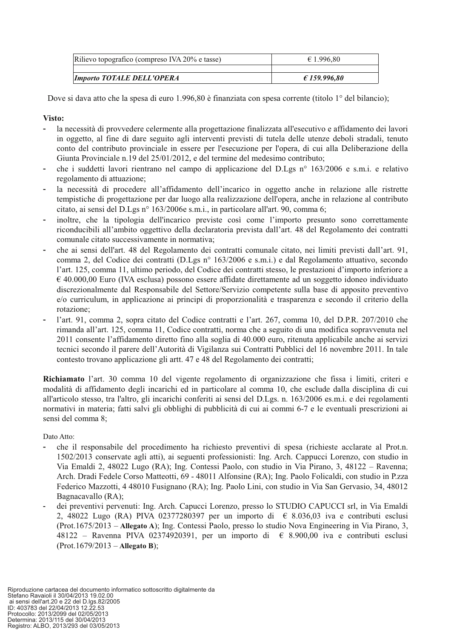| Rilievo topografico (compreso IVA 20% e tasse) | $\epsilon$ 1.996,80   |  |  |
|------------------------------------------------|-----------------------|--|--|
|                                                |                       |  |  |
| <b>Importo TOTALE DELL'OPERA</b>               | $\epsilon$ 159.996.80 |  |  |

Dove si dava atto che la spesa di euro 1.996.80 è finanziata con spesa corrente (titolo 1<sup>o</sup> del bilancio);

#### Visto:

- la necessità di provvedere celermente alla progettazione finalizzata all'esecutivo e affidamento dei lavori in oggetto, al fine di dare seguito agli interventi previsti di tutela delle utenze deboli stradali, tenuto conto del contributo provinciale in essere per l'esecuzione per l'opera, di cui alla Deliberazione della Giunta Provinciale n.19 del 25/01/2012, e del termine del medesimo contributo;
- che i suddetti lavori rientrano nel campo di applicazione del D.Lgs nº 163/2006 e s.m.i. e relativo regolamento di attuazione:
- la necessità di procedere all'affidamento dell'incarico in oggetto anche in relazione alle ristrette tempistiche di progettazione per dar luogo alla realizzazione dell'opera, anche in relazione al contributo citato, ai sensi del D.Lgs nº 163/2006e s.m.i., in particolare all'art. 90, comma 6;
- inoltre, che la tipologia dell'incarico previste così come l'importo presunto sono correttamente riconducibili all'ambito oggettivo della declaratoria prevista dall'art. 48 del Regolamento dei contratti comunale citato successivamente in normativa:
- che ai sensi dell'art. 48 del Regolamento dei contratti comunale citato, nei limiti previsti dall'art. 91, comma 2, del Codice dei contratti (D.Lgs nº 163/2006 e s.m.i.) e dal Regolamento attuativo, secondo l'art. 125, comma 11, ultimo periodo, del Codice dei contratti stesso, le prestazioni d'importo inferiore a  $\epsilon$  40.000,00 Euro (IVA esclusa) possono essere affidate direttamente ad un soggetto idoneo individuato discrezionalmente dal Responsabile del Settore/Servizio competente sulla base di apposito preventivo e/o curriculum, in applicazione ai principi di proporzionalità e trasparenza e secondo il criterio della rotazione;
- l'art. 91, comma 2, sopra citato del Codice contratti e l'art. 267, comma 10, del D.P.R. 207/2010 che rimanda all'art. 125, comma 11, Codice contratti, norma che a seguito di una modifica sopravvenuta nel 2011 consente l'affidamento diretto fino alla soglia di 40.000 euro, ritenuta applicabile anche ai servizi tecnici secondo il parere dell'Autorità di Vigilanza sui Contratti Pubblici del 16 novembre 2011. In tale contesto trovano applicazione gli artt. 47 e 48 del Regolamento dei contratti;

Richiamato l'art. 30 comma 10 del vigente regolamento di organizzazione che fissa i limiti, criteri e modalità di affidamento degli incarichi ed in particolare al comma 10, che esclude dalla disciplina di cui all'articolo stesso, tra l'altro, gli incarichi conferiti ai sensi del D.Lgs. n. 163/2006 es.m.i. e dei regolamenti normativi in materia; fatti salvi gli obblighi di pubblicità di cui ai commi 6-7 e le eventuali prescrizioni ai sensi del comma 8;

Dato Atto:

- che il responsabile del procedimento ha richiesto preventivi di spesa (richieste acclarate al Prot.n. 1502/2013 conservate agli atti), ai seguenti professionisti: Ing. Arch. Cappucci Lorenzo, con studio in Via Emaldi 2, 48022 Lugo (RA); Ing. Contessi Paolo, con studio in Via Pirano, 3, 48122 – Ravenna; Arch. Dradi Fedele Corso Matteotti, 69 - 48011 Alfonsine (RA); Ing. Paolo Folicaldi, con studio in P.zza Federico Mazzotti, 4 48010 Fusignano (RA); Ing. Paolo Lini, con studio in Via San Gervasio, 34, 48012 Bagnacavallo (RA):
- dei preventivi pervenuti: Ing. Arch. Capucci Lorenzo, presso lo STUDIO CAPUCCI srl, in Via Emaldi 2, 48022 Lugo (RA) PIVA 02377280397 per un importo di  $\epsilon$  8.036,03 iva e contributi esclusi (Prot.1675/2013 – Allegato A); Ing. Contessi Paolo, presso lo studio Nova Engineering in Via Pirano, 3, 48122 – Ravenna PIVA 02374920391, per un importo di  $\epsilon$  8.900,00 iva e contributi esclusi  $(Prot.1679/2013 - Allegato B);$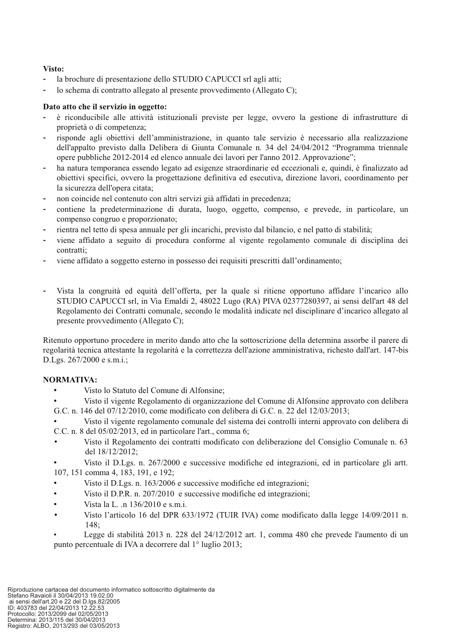#### Visto:

- la brochure di presentazione dello STUDIO CAPUCCI srl agli atti;
- lo schema di contratto allegato al presente provvedimento (Allegato C);

#### Dato atto che il servizio in oggetto:

- è riconducibile alle attività istituzionali previste per legge, ovvero la gestione di infrastrutture di proprietà o di competenza;
- risponde agli objettivi dell'amministrazione, in quanto tale servizio è necessario alla realizzazione dell'appalto previsto dalla Delibera di Giunta Comunale n. 34 del 24/04/2012 "Programma triennale opere pubbliche 2012-2014 ed elenco annuale dei lavori per l'anno 2012. Approvazione";
- ha natura temporanea essendo legato ad esigenze straordinarie ed eccezionali e, quindi, è finalizzato ad obiettivi specifici, ovvero la progettazione definitiva ed esecutiva, direzione lavori, coordinamento per la sicurezza dell'opera citata:
- non coincide nel contenuto con altri servizi già affidati in precedenza;
- contiene la predeterminazione di durata, luogo, oggetto, compenso, e prevede, in particolare, un compenso congruo e proporzionato;
- rientra nel tetto di spesa annuale per gli incarichi, previsto dal bilancio, e nel patto di stabilità;
- viene affidato a seguito di procedura conforme al vigente regolamento comunale di disciplina dei contratti;
- viene affidato a soggetto esterno in possesso dei requisiti prescritti dall'ordinamento;
- Vista la congruità ed equità dell'offerta, per la quale si ritiene opportuno affidare l'incarico allo STUDIO CAPUCCI srl, in Via Emaldi 2, 48022 Lugo (RA) PIVA 02377280397, ai sensi dell'art 48 del Regolamento dei Contratti comunale, secondo le modalità indicate nel disciplinare d'incarico allegato al presente provvedimento (Allegato C);

Ritenuto opportuno procedere in merito dando atto che la sottoscrizione della determina assorbe il parere di regolarità tecnica attestante la regolarità e la correttezza dell'azione amministrativa, richesto dall'art. 147-bis D.Lgs. 267/2000 e s.m.i.;

### **NORMATIVA:**

- Visto lo Statuto del Comune di Alfonsine;
- Visto il vigente Regolamento di organizzazione del Comune di Alfonsine approvato con delibera G.C. n. 146 del 07/12/2010, come modificato con delibera di G.C. n. 22 del 12/03/2013;
- Visto il vigente regolamento comunale del sistema dei controlli interni approvato con delibera di C.C. n. 8 del 05/02/2013, ed in particolare l'art., comma 6;
- Visto il Regolamento dei contratti modificato con deliberazione del Consiglio Comunale n. 63 del 18/12/2012;
- Visto il D.Lgs. n. 267/2000 e successive modifiche ed integrazioni, ed in particolare gli artt. 107, 151 comma 4, 183, 191, e 192;
- Visto il D.Lgs. n. 163/2006 e successive modifiche ed integrazioni;
- Visto il D.P.R. n. 207/2010 e successive modifiche ed integrazioni;
- Vista la L. .n 136/2010 e s.m.i.
- Visto l'articolo 16 del DPR 633/1972 (TUIR IVA) come modificato dalla legge 14/09/2011 n. 148:

Legge di stabilità 2013 n. 228 del 24/12/2012 art. 1, comma 480 che prevede l'aumento di un punto percentuale di IVA a decorrere dal 1<sup>°</sup> luglio 2013;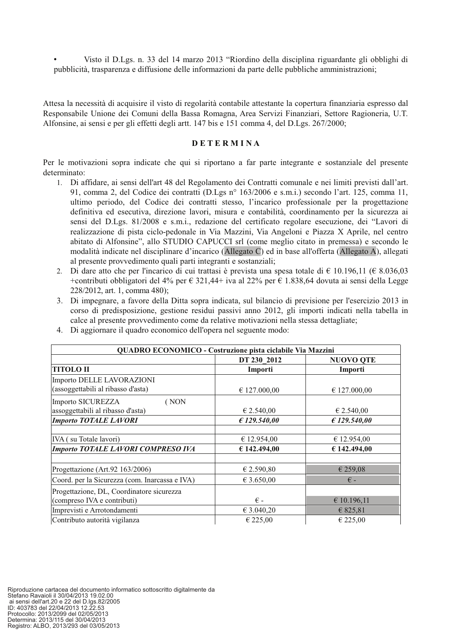Visto il D.Lgs. n. 33 del 14 marzo 2013 "Riordino della disciplina riguardante gli obblighi di pubblicità, trasparenza e diffusione delle informazioni da parte delle pubbliche amministrazioni;

Attesa la necessità di acquisire il visto di regolarità contabile attestante la copertura finanziaria espresso dal Responsabile Unione dei Comuni della Bassa Romagna, Area Servizi Finanziari, Settore Ragioneria, U.T. Alfonsine, ai sensi e per gli effetti degli artt. 147 bis e 151 comma 4, del D.Lgs. 267/2000;

#### **DETERMINA**

Per le motivazioni sopra indicate che qui si riportano a far parte integrante e sostanziale del presente determinato:

- 1. Di affidare, ai sensi dell'art 48 del Regolamento dei Contratti comunale e nei limiti previsti dall'art. 91, comma 2, del Codice dei contratti (D.Lgs nº 163/2006 e s.m.i.) secondo l'art. 125, comma 11, ultimo periodo, del Codice dei contratti stesso, l'incarico professionale per la progettazione definitiva ed esecutiva, direzione lavori, misura e contabilità, coordinamento per la sicurezza ai sensi del D.Lgs. 81/2008 e s.m.i., redazione del certificato regolare esecuzione, dei "Lavori di realizzazione di pista ciclo-pedonale in Via Mazzini, Via Angeloni e Piazza X Aprile, nel centro abitato di Alfonsine", allo STUDIO CAPUCCI srl (come meglio citato in premessa) e secondo le modalità indicate nel disciplinare d'incarico (Allegato C) ed in base all'offerta (Allegato A), allegati al presente provvedimento quali parti integranti e sostanziali;
- 2. Di dare atto che per l'incarico di cui trattasi è prevista una spesa totale di  $\epsilon$  10.196,11 ( $\epsilon$  8.036,03 +contributi obbligatori del 4% per  $\epsilon$  321,44+ iva al 22% per  $\epsilon$  1.838,64 dovuta ai sensi della Legge 228/2012, art. 1, comma 480);
- 3. Di impegnare, a favore della Ditta sopra indicata, sul bilancio di previsione per l'esercizio 2013 in corso di predisposizione, gestione residui passivi anno 2012, gli importi indicati nella tabella in calce al presente provvedimento come da relative motivazioni nella stessa dettagliate;
- 4. Di aggiornare il quadro economico dell'opera nel seguente modo:

| QUADRO ECONOMICO - Costruzione pista ciclabile Via Mazzini |              |                  |  |  |
|------------------------------------------------------------|--------------|------------------|--|--|
|                                                            | DT 230 2012  | <b>NUOVO QTE</b> |  |  |
| <b>TITOLO II</b>                                           | Importi      | Importi          |  |  |
| Importo DELLE LAVORAZIONI                                  |              |                  |  |  |
| (assoggettabili al ribasso d'asta)                         | € 127.000,00 | € 127.000,00     |  |  |
| Importo SICUREZZA<br>(NON                                  |              |                  |  |  |
| assoggettabili al ribasso d'asta)                          | € 2.540,00   | € 2.540,00       |  |  |
| <b>Importo TOTALE LAVORI</b>                               | £ 129.540.00 | £ 129.540.00     |  |  |
|                                                            |              |                  |  |  |
| IVA (su Totale lavori)                                     | € 12.954,00  | € 12.954.00      |  |  |
| Importo TOTALE LAVORI COMPRESO IVA                         | € 142.494,00 | € 142.494,00     |  |  |
|                                                            |              |                  |  |  |
| Progettazione (Art.92 163/2006)                            | € 2.590,80   | € 259,08         |  |  |
| Coord. per la Sicurezza (com. Inarcassa e IVA)             | € 3.650,00   | $\epsilon$ -     |  |  |
| Progettazione, DL, Coordinatore sicurezza                  |              |                  |  |  |
| (compreso IVA e contributi)                                | $\epsilon$ - | € 10.196,11      |  |  |
| Imprevisti e Arrotondamenti                                | € 3.040,20   | € 825,81         |  |  |
| Contributo autorità vigilanza                              | € 225,00     | € 225,00         |  |  |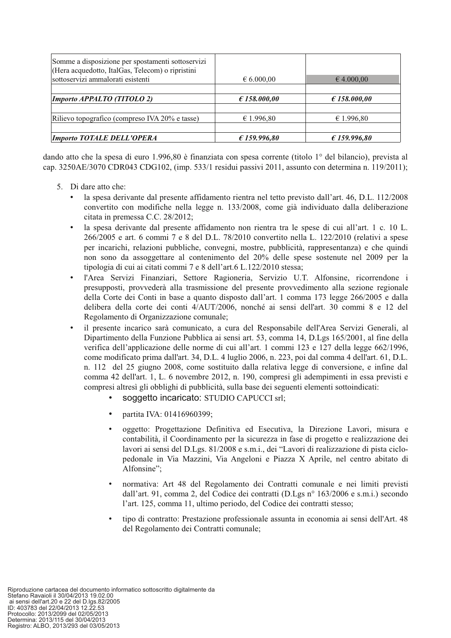| Somme a disposizione per spostamenti sottoservizi<br>(Hera acquedotto, ItalGas, Telecom) o ripristini |                     |                     |
|-------------------------------------------------------------------------------------------------------|---------------------|---------------------|
| sottoservizi ammalorati esistenti                                                                     | $\epsilon$ 6.000,00 | $\epsilon$ 4.000,00 |
|                                                                                                       |                     |                     |
| Importo APPALTO (TITOLO 2)                                                                            | E158.000,00         | E158.000,00         |
|                                                                                                       |                     |                     |
| Rilievo topografico (compreso IVA 20% e tasse)                                                        | € 1.996,80          | € 1.996,80          |
|                                                                                                       |                     |                     |
| <b>Importo TOTALE DELL'OPERA</b>                                                                      | £159.996.80         | £ 159.996.80        |

dando atto che la spesa di euro 1.996.80 è finanziata con spesa corrente (titolo 1<sup>o</sup> del bilancio), prevista al cap. 3250AE/3070 CDR043 CDG102, (imp. 533/1 residui passivi 2011, assunto con determina n. 119/2011);

- 5. Di dare atto che:
	- la spesa derivante dal presente affidamento rientra nel tetto previsto dall'art. 46, D.L. 112/2008 convertito con modifiche nella legge n. 133/2008, come già individuato dalla deliberazione citata in premessa C.C. 28/2012;
	- la spesa derivante dal presente affidamento non rientra tra le spese di cui all'art. 1 c. 10 L.  $266/2005$  e art. 6 commi 7 e 8 del D.L. 78/2010 convertito nella L. 122/2010 (relativi a spese per incarichi, relazioni pubbliche, convegni, mostre, pubblicità, rappresentanza) e che quindi non sono da assoggettare al contenimento del 20% delle spese sostenute nel 2009 per la tipologia di cui ai citati commi 7 e 8 dell'art.6 L.122/2010 stessa;
	- l'Area Servizi Finanziari, Settore Ragioneria, Servizio U.T. Alfonsine, ricorrendone i  $\bullet$ presupposti, provvederà alla trasmissione del presente provvedimento alla sezione regionale della Corte dei Conti in base a quanto disposto dall'art. 1 comma 173 legge 266/2005 e dalla delibera della corte dei conti 4/AUT/2006, nonché ai sensi dell'art. 30 commi 8 e 12 del Regolamento di Organizzazione comunale;
	- il presente incarico sarà comunicato, a cura del Responsabile dell'Area Servizi Generali, al Dipartimento della Funzione Pubblica ai sensi art. 53, comma 14, D.Lgs 165/2001, al fine della verifica dell'applicazione delle norme di cui all'art. 1 commi 123 e 127 della legge 662/1996, come modificato prima dall'art. 34, D.L. 4 luglio 2006, n. 223, poi dal comma 4 dell'art. 61, D.L. n. 112 del 25 giugno 2008, come sostituito dalla relativa legge di conversione, e infine dal comma 42 dell'art. 1, L. 6 novembre 2012, n. 190, compresi gli adempimenti in essa previsti e compresi altresì gli obblighi di pubblicità, sulla base dei seguenti elementi sottoindicati:
		- soquetto incaricato: STUDIO CAPUCCI srl;
		- partita IVA: 01416960399;
		- oggetto: Progettazione Definitiva ed Esecutiva, la Direzione Lavori, misura e contabilità, il Coordinamento per la sicurezza in fase di progetto e realizzazione dei lavori ai sensi del D.Lgs. 81/2008 e s.m.i., dei "Lavori di realizzazione di pista ciclopedonale in Via Mazzini, Via Angeloni e Piazza X Aprile, nel centro abitato di Alfonsine":
		- normativa: Art 48 del Regolamento dei Contratti comunale e nei limiti previsti dall'art. 91, comma 2, del Codice dei contratti (D.Lgs n° 163/2006 e s.m.i.) secondo l'art. 125, comma 11, ultimo periodo, del Codice dei contratti stesso:
		- tipo di contratto: Prestazione professionale assunta in economia ai sensi dell'Art. 48 del Regolamento dei Contratti comunale: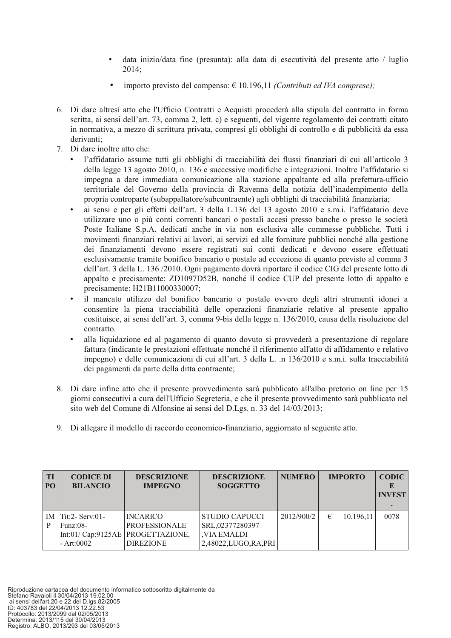- data inizio/data fine (presunta): alla data di esecutività del presente atto / luglio  $2014:$
- importo previsto del compenso:  $\in$  10.196,11 (Contributi ed IVA comprese);
- 6. Di dare altresí atto che l'Ufficio Contratti e Acquisti procederà alla stipula del contratto in forma scritta, ai sensi dell'art. 73, comma 2, lett. c) e seguenti, del vigente regolamento dei contratti citato in normativa, a mezzo di scrittura privata, compresi gli obblighi di controllo e di pubblicità da essa derivanti:
- 7. Di dare inoltre atto che:
	- l'affidatario assume tutti gli obblighi di tracciabilità dei flussi finanziari di cui all'articolo 3 della legge 13 agosto 2010, n. 136 e successive modifiche e integrazioni. Inoltre l'affidatario si impegna a dare immediata comunicazione alla stazione appaltante ed alla prefettura-ufficio territoriale del Governo della provincia di Ravenna della notizia dell'inadempimento della propria controparte (subappaltatore/subcontraente) agli obblighi di tracciabilità finanziaria;
	- ai sensi e per gli effetti dell'art. 3 della L.136 del 13 agosto 2010 e s.m.i. l'affidatario deve utilizzare uno o più conti correnti bancari o postali accesi presso banche o presso le società Poste Italiane S.p.A. dedicati anche in via non esclusiva alle commesse pubbliche. Tutti i movimenti finanziari relativi ai lavori, ai servizi ed alle forniture pubblici nonché alla gestione dei finanziamenti devono essere registrati sui conti dedicati e devono essere effettuati esclusivamente tramite bonifico bancario o postale ad eccezione di quanto previsto al comma 3 dell'art. 3 della L. 136/2010. Ogni pagamento dovrà riportare il codice CIG del presente lotto di appalto e precisamente: ZD1097D52B, nonché il codice CUP del presente lotto di appalto e precisamente: H21B11000330007;
	- il mancato utilizzo del bonifico bancario o postale ovvero degli altri strumenti idonei a consentire la piena tracciabilità delle operazioni finanziarie relative al presente appalto costituisce, ai sensi dell'art. 3, comma 9-bis della legge n. 136/2010, causa della risoluzione del contratto.
	- alla liquidazione ed al pagamento di quanto dovuto si provvederà a presentazione di regolare fattura (indicante le prestazioni effettuate nonché il riferimento all'atto di affidamento e relativo impegno) e delle comunicazioni di cui all'art. 3 della L. n 136/2010 e s.m.i. sulla tracciabilità dei pagamenti da parte della ditta contraente;
- 8. Di dare infine atto che il presente provvedimento sarà pubblicato all'albo pretorio on line per 15 giorni consecutivi a cura dell'Ufficio Segreteria, e che il presente provvedimento sarà pubblicato nel sito web del Comune di Alfonsine ai sensi del D.Lgs. n. 33 del 14/03/2013;
- 9. Di allegare il modello di raccordo economico-finanziario, aggiornato al seguente atto.

| TI<br>PO <sub>1</sub> | <b>CODICE DI</b><br><b>BILANCIO</b>                  | <b>DESCRIZIONE</b><br><b>IMPEGNO</b>                                                               | <b>DESCRIZIONE</b><br><b>SOGGETTO</b>                                                | <b>NUMERO</b> |   | <b>IMPORTO</b> | <b>CODIC</b><br><b>INVEST</b> |
|-----------------------|------------------------------------------------------|----------------------------------------------------------------------------------------------------|--------------------------------------------------------------------------------------|---------------|---|----------------|-------------------------------|
| ΙM<br>P               | $\text{Tit:2-}$ Serv:01-<br>$Funz:08-$<br>- Art:0002 | <b>INCARICO</b><br><b>PROFESSIONALE</b><br>Int:01/ $Cap:9125AE$ PROGETTAZIONE,<br><b>DIREZIONE</b> | <b>STUDIO CAPUCCI</b><br>SRL,02377280397<br><b>VIA EMALDI</b><br>2,48022,LUGO,RA,PRI | 2012/900/2    | € | 10.196,11      | 0078                          |